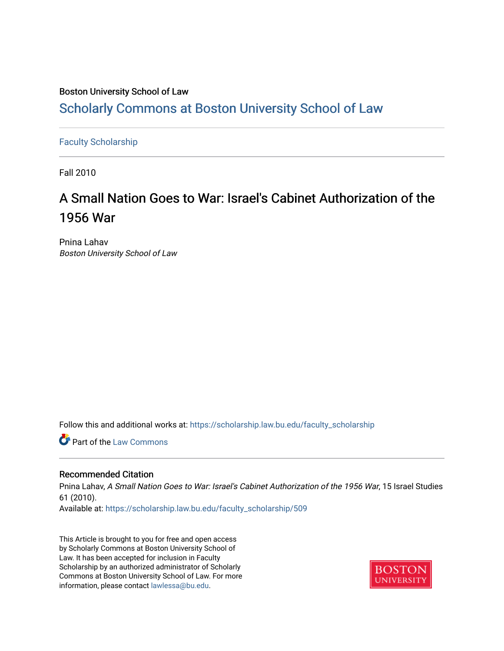## Boston University School of Law [Scholarly Commons at Boston University School of Law](https://scholarship.law.bu.edu/)

[Faculty Scholarship](https://scholarship.law.bu.edu/faculty_scholarship)

Fall 2010

# A Small Nation Goes to War: Israel's Cabinet Authorization of the 1956 War

Pnina Lahav Boston University School of Law

Follow this and additional works at: [https://scholarship.law.bu.edu/faculty\\_scholarship](https://scholarship.law.bu.edu/faculty_scholarship?utm_source=scholarship.law.bu.edu%2Ffaculty_scholarship%2F509&utm_medium=PDF&utm_campaign=PDFCoverPages)

**Part of the [Law Commons](http://network.bepress.com/hgg/discipline/578?utm_source=scholarship.law.bu.edu%2Ffaculty_scholarship%2F509&utm_medium=PDF&utm_campaign=PDFCoverPages)** 

## Recommended Citation

Pnina Lahav, A Small Nation Goes to War: Israel's Cabinet Authorization of the 1956 War, 15 Israel Studies 61 (2010).

Available at: [https://scholarship.law.bu.edu/faculty\\_scholarship/509](https://scholarship.law.bu.edu/faculty_scholarship/509?utm_source=scholarship.law.bu.edu%2Ffaculty_scholarship%2F509&utm_medium=PDF&utm_campaign=PDFCoverPages) 

This Article is brought to you for free and open access by Scholarly Commons at Boston University School of Law. It has been accepted for inclusion in Faculty Scholarship by an authorized administrator of Scholarly Commons at Boston University School of Law. For more information, please contact [lawlessa@bu.edu.](mailto:lawlessa@bu.edu)

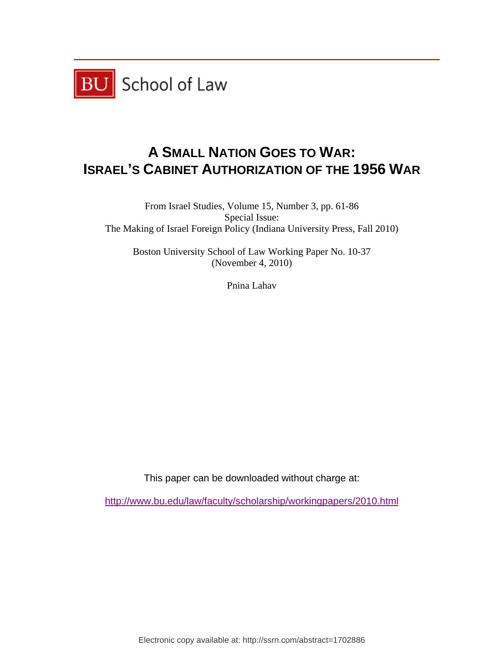

## **A SMALL NATION GOES TO WAR: ISRAEL'S CABINET AUTHORIZATION OF THE 1956 WAR**

From Israel Studies, Volume 15, Number 3, pp. 61-86 Special Issue: The Making of Israel Foreign Policy (Indiana University Press, Fall 2010)

Boston University School of Law Working Paper No. 10-37 (November 4, 2010)

Pnina Lahav

This paper can be downloaded without charge at:

http://www.bu.edu/law/faculty/scholarship/workingpapers/2010.html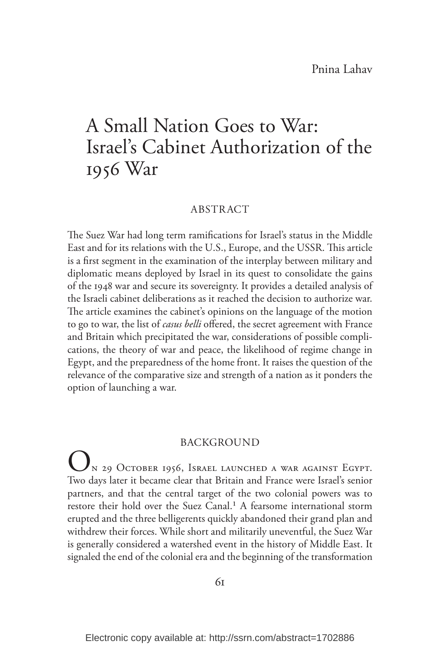# A Small Nation Goes to War: Israel's Cabinet Authorization of the 1956 War

## ABSTRACT

The Suez War had long term ramifications for Israel's status in the Middle East and for its relations with the U.S., Europe, and the USSR. This article is a first segment in the examination of the interplay between military and diplomatic means deployed by Israel in its quest to consolidate the gains of the 1948 war and secure its sovereignty. It provides a detailed analysis of the Israeli cabinet deliberations as it reached the decision to authorize war. The article examines the cabinet's opinions on the language of the motion to go to war, the list of *casus belli* offered, the secret agreement with France and Britain which precipitated the war, considerations of possible complications, the theory of war and peace, the likelihood of regime change in Egypt, and the preparedness of the home front. It raises the question of the relevance of the comparative size and strength of a nation as it ponders the option of launching a war.

### BACKGROUND

 $\boldsymbol{J}_{\text{N}}$  29 October 1956, Israel launched a war against Egypt. Two days later it became clear that Britain and France were Israel's senior partners, and that the central target of the two colonial powers was to restore their hold over the Suez Canal.<sup>1</sup> A fearsome international storm erupted and the three belligerents quickly abandoned their grand plan and withdrew their forces. While short and militarily uneventful, the Suez War is generally considered a watershed event in the history of Middle East. It signaled the end of the colonial era and the beginning of the transformation

61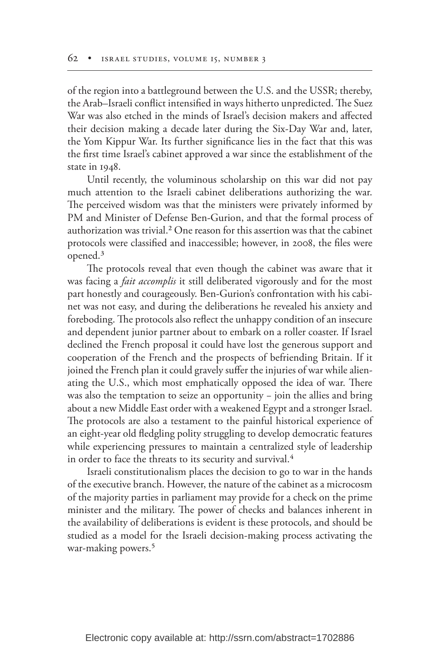of the region into a battleground between the U.S. and the USSR; thereby, the Arab–Israeli conflict intensified in ways hitherto unpredicted. The Suez War was also etched in the minds of Israel's decision makers and affected their decision making a decade later during the Six-Day War and, later, the Yom Kippur War. Its further significance lies in the fact that this was the first time Israel's cabinet approved a war since the establishment of the state in 1948.

Until recently, the voluminous scholarship on this war did not pay much attention to the Israeli cabinet deliberations authorizing the war. The perceived wisdom was that the ministers were privately informed by PM and Minister of Defense Ben-Gurion, and that the formal process of authorization was trivial.2 One reason for this assertion was that the cabinet protocols were classified and inaccessible; however, in 2008, the files were opened.3

The protocols reveal that even though the cabinet was aware that it was facing a *fait accomplis* it still deliberated vigorously and for the most part honestly and courageously. Ben-Gurion's confrontation with his cabinet was not easy, and during the deliberations he revealed his anxiety and foreboding. The protocols also reflect the unhappy condition of an insecure and dependent junior partner about to embark on a roller coaster. If Israel declined the French proposal it could have lost the generous support and cooperation of the French and the prospects of befriending Britain. If it joined the French plan it could gravely suffer the injuries of war while alienating the U.S., which most emphatically opposed the idea of war. There was also the temptation to seize an opportunity − join the allies and bring about a new Middle East order with a weakened Egypt and a stronger Israel. The protocols are also a testament to the painful historical experience of an eight-year old fledgling polity struggling to develop democratic features while experiencing pressures to maintain a centralized style of leadership in order to face the threats to its security and survival.<sup>4</sup>

Israeli constitutionalism places the decision to go to war in the hands of the executive branch. However, the nature of the cabinet as a microcosm of the majority parties in parliament may provide for a check on the prime minister and the military. The power of checks and balances inherent in the availability of deliberations is evident is these protocols, and should be studied as a model for the Israeli decision-making process activating the war-making powers.<sup>5</sup>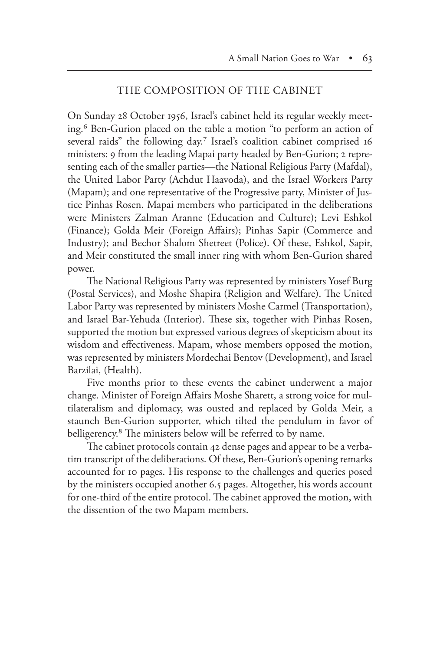### THE COMPOSITION OF THE CABINET

On Sunday 28 October 1956, Israel's cabinet held its regular weekly meeting.<sup>6</sup> Ben-Gurion placed on the table a motion "to perform an action of several raids" the following day.<sup>7</sup> Israel's coalition cabinet comprised 16 ministers: 9 from the leading Mapai party headed by Ben-Gurion; 2 representing each of the smaller parties—the National Religious Party (Mafdal), the United Labor Party (Achdut Haavoda), and the Israel Workers Party (Mapam); and one representative of the Progressive party, Minister of Justice Pinhas Rosen. Mapai members who participated in the deliberations were Ministers Zalman Aranne (Education and Culture); Levi Eshkol (Finance); Golda Meir (Foreign Affairs); Pinhas Sapir (Commerce and Industry); and Bechor Shalom Shetreet (Police). Of these, Eshkol, Sapir, and Meir constituted the small inner ring with whom Ben-Gurion shared power.

The National Religious Party was represented by ministers Yosef Burg (Postal Services), and Moshe Shapira (Religion and Welfare). The United Labor Party was represented by ministers Moshe Carmel (Transportation), and Israel Bar-Yehuda (Interior). These six, together with Pinhas Rosen, supported the motion but expressed various degrees of skepticism about its wisdom and effectiveness. Mapam, whose members opposed the motion, was represented by ministers Mordechai Bentov (Development), and Israel Barzilai, (Health).

Five months prior to these events the cabinet underwent a major change. Minister of Foreign Affairs Moshe Sharett, a strong voice for multilateralism and diplomacy, was ousted and replaced by Golda Meir, a staunch Ben-Gurion supporter, which tilted the pendulum in favor of belligerency.<sup>8</sup> The ministers below will be referred to by name.

The cabinet protocols contain 42 dense pages and appear to be a verbatim transcript of the deliberations. Of these, Ben-Gurion's opening remarks accounted for 10 pages. His response to the challenges and queries posed by the ministers occupied another 6.5 pages. Altogether, his words account for one-third of the entire protocol. The cabinet approved the motion, with the dissention of the two Mapam members.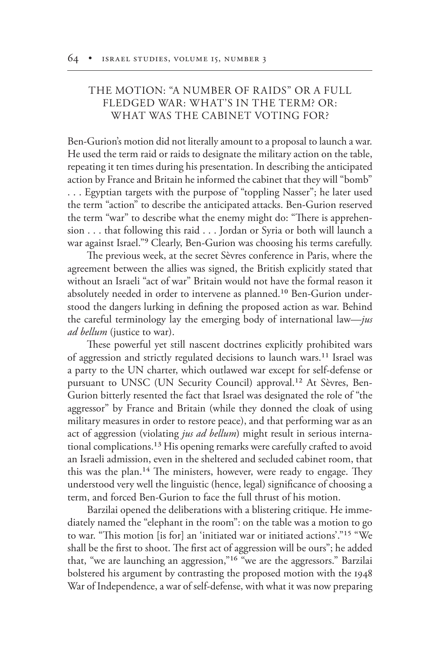## THE MOTION: "A NUMBER OF RAIDS" OR A FULL FLEDGED WAR: WHAT'S IN THE TERM? OR: WHAT WAS THE CABINET VOTING FOR?

Ben-Gurion's motion did not literally amount to a proposal to launch a war. He used the term raid or raids to designate the military action on the table, repeating it ten times during his presentation. In describing the anticipated action by France and Britain he informed the cabinet that they will "bomb" . . . Egyptian targets with the purpose of "toppling Nasser"; he later used the term "action" to describe the anticipated attacks. Ben-Gurion reserved the term "war" to describe what the enemy might do: "There is apprehension . . . that following this raid . . . Jordan or Syria or both will launch a war against Israel."9 Clearly, Ben-Gurion was choosing his terms carefully.

The previous week, at the secret Sèvres conference in Paris, where the agreement between the allies was signed, the British explicitly stated that without an Israeli "act of war" Britain would not have the formal reason it absolutely needed in order to intervene as planned.<sup>10</sup> Ben-Gurion understood the dangers lurking in defining the proposed action as war. Behind the careful terminology lay the emerging body of international law—*jus ad bellum* (justice to war).

These powerful yet still nascent doctrines explicitly prohibited wars of aggression and strictly regulated decisions to launch wars.11 Israel was a party to the UN charter, which outlawed war except for self-defense or pursuant to UNSC (UN Security Council) approval.12 At Sèvres, Ben-Gurion bitterly resented the fact that Israel was designated the role of "the aggressor" by France and Britain (while they donned the cloak of using military measures in order to restore peace), and that performing war as an act of aggression (violating *jus ad bellum*) might result in serious international complications.13 His opening remarks were carefully crafted to avoid an Israeli admission, even in the sheltered and secluded cabinet room, that this was the plan.14 The ministers, however, were ready to engage. They understood very well the linguistic (hence, legal) significance of choosing a term, and forced Ben-Gurion to face the full thrust of his motion.

Barzilai opened the deliberations with a blistering critique. He immediately named the "elephant in the room": on the table was a motion to go to war. "This motion [is for] an 'initiated war or initiated actions'."15 "We shall be the first to shoot. The first act of aggression will be ours"; he added that, "we are launching an aggression,"16 "we are the aggressors." Barzilai bolstered his argument by contrasting the proposed motion with the 1948 War of Independence, a war of self-defense, with what it was now preparing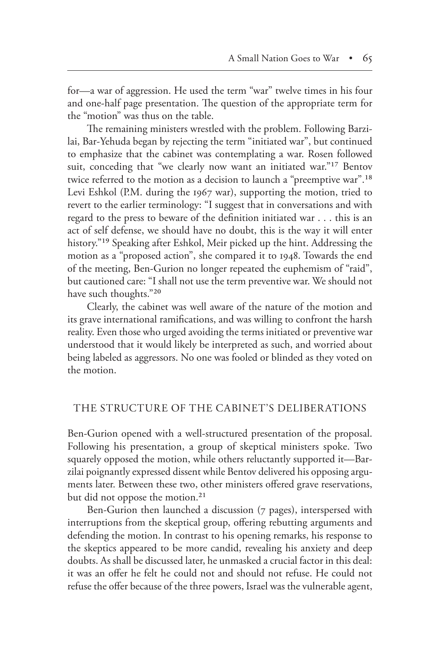for—a war of aggression. He used the term "war" twelve times in his four and one-half page presentation. The question of the appropriate term for the "motion" was thus on the table.

The remaining ministers wrestled with the problem. Following Barzilai, Bar-Yehuda began by rejecting the term "initiated war", but continued to emphasize that the cabinet was contemplating a war. Rosen followed suit, conceding that "we clearly now want an initiated war."17 Bentov twice referred to the motion as a decision to launch a "preemptive war".18 Levi Eshkol (P.M. during the 1967 war), supporting the motion, tried to revert to the earlier terminology: "I suggest that in conversations and with regard to the press to beware of the definition initiated war . . . this is an act of self defense, we should have no doubt, this is the way it will enter history."19 Speaking after Eshkol, Meir picked up the hint. Addressing the motion as a "proposed action", she compared it to 1948. Towards the end of the meeting, Ben-Gurion no longer repeated the euphemism of "raid", but cautioned care: "I shall not use the term preventive war. We should not have such thoughts."20

Clearly, the cabinet was well aware of the nature of the motion and its grave international ramifications, and was willing to confront the harsh reality. Even those who urged avoiding the terms initiated or preventive war understood that it would likely be interpreted as such, and worried about being labeled as aggressors. No one was fooled or blinded as they voted on the motion.

## THE STRUCTURE OF THE CABINET'S DELIBERATIONS

Ben-Gurion opened with a well-structured presentation of the proposal. Following his presentation, a group of skeptical ministers spoke. Two squarely opposed the motion, while others reluctantly supported it—Barzilai poignantly expressed dissent while Bentov delivered his opposing arguments later. Between these two, other ministers offered grave reservations, but did not oppose the motion.<sup>21</sup>

Ben-Gurion then launched a discussion (7 pages), interspersed with interruptions from the skeptical group, offering rebutting arguments and defending the motion. In contrast to his opening remarks, his response to the skeptics appeared to be more candid, revealing his anxiety and deep doubts. As shall be discussed later, he unmasked a crucial factor in this deal: it was an offer he felt he could not and should not refuse. He could not refuse the offer because of the three powers, Israel was the vulnerable agent,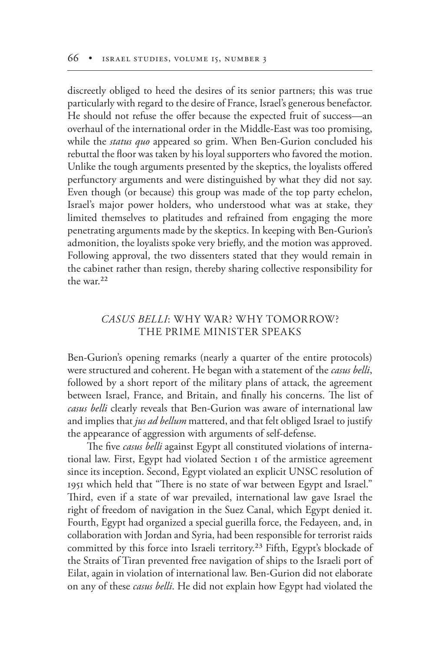discreetly obliged to heed the desires of its senior partners; this was true particularly with regard to the desire of France, Israel's generous benefactor. He should not refuse the offer because the expected fruit of success—an overhaul of the international order in the Middle-East was too promising, while the *status quo* appeared so grim. When Ben-Gurion concluded his rebuttal the floor was taken by his loyal supporters who favored the motion. Unlike the tough arguments presented by the skeptics, the loyalists offered perfunctory arguments and were distinguished by what they did not say. Even though (or because) this group was made of the top party echelon, Israel's major power holders, who understood what was at stake, they limited themselves to platitudes and refrained from engaging the more penetrating arguments made by the skeptics. In keeping with Ben-Gurion's admonition, the loyalists spoke very briefly, and the motion was approved. Following approval, the two dissenters stated that they would remain in the cabinet rather than resign, thereby sharing collective responsibility for the war.22

## *CASUS BELLI*: WHY WAR? WHY TOMORROW? THE PRIME MINISTER SPEAKS

Ben-Gurion's opening remarks (nearly a quarter of the entire protocols) were structured and coherent. He began with a statement of the *casus belli*, followed by a short report of the military plans of attack, the agreement between Israel, France, and Britain, and finally his concerns. The list of *casus belli* clearly reveals that Ben-Gurion was aware of international law and implies that *jus ad bellum* mattered, and that felt obliged Israel to justify the appearance of aggression with arguments of self-defense.

The five *casus belli* against Egypt all constituted violations of international law. First, Egypt had violated Section 1 of the armistice agreement since its inception. Second, Egypt violated an explicit UNSC resolution of 1951 which held that "There is no state of war between Egypt and Israel." Third, even if a state of war prevailed, international law gave Israel the right of freedom of navigation in the Suez Canal, which Egypt denied it. Fourth, Egypt had organized a special guerilla force, the Fedayeen, and, in collaboration with Jordan and Syria, had been responsible for terrorist raids committed by this force into Israeli territory.<sup>23</sup> Fifth, Egypt's blockade of the Straits of Tiran prevented free navigation of ships to the Israeli port of Eilat, again in violation of international law. Ben-Gurion did not elaborate on any of these *casus belli*. He did not explain how Egypt had violated the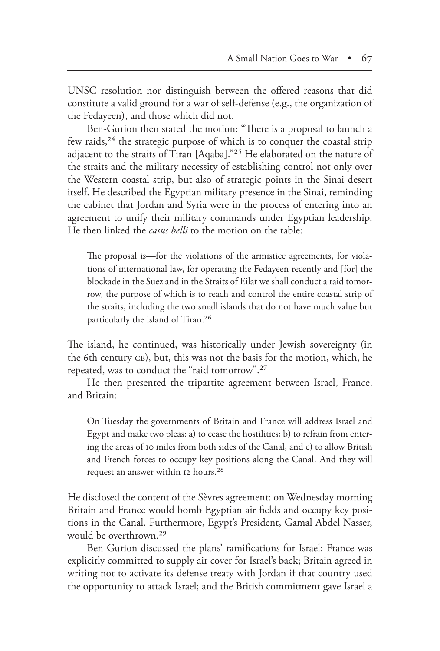UNSC resolution nor distinguish between the offered reasons that did constitute a valid ground for a war of self-defense (e.g., the organization of the Fedayeen), and those which did not.

Ben-Gurion then stated the motion: "There is a proposal to launch a few raids,  $24$  the strategic purpose of which is to conquer the coastal strip adjacent to the straits of Tiran [Aqaba]."<sup>25</sup> He elaborated on the nature of the straits and the military necessity of establishing control not only over the Western coastal strip, but also of strategic points in the Sinai desert itself. He described the Egyptian military presence in the Sinai, reminding the cabinet that Jordan and Syria were in the process of entering into an agreement to unify their military commands under Egyptian leadership. He then linked the *casus belli* to the motion on the table:

The proposal is—for the violations of the armistice agreements, for violations of international law, for operating the Fedayeen recently and [for] the blockade in the Suez and in the Straits of Eilat we shall conduct a raid tomorrow, the purpose of which is to reach and control the entire coastal strip of the straits, including the two small islands that do not have much value but particularly the island of Tiran.26

The island, he continued, was historically under Jewish sovereignty (in the 6th century ce), but, this was not the basis for the motion, which, he repeated, was to conduct the "raid tomorrow".27

He then presented the tripartite agreement between Israel, France, and Britain:

On Tuesday the governments of Britain and France will address Israel and Egypt and make two pleas: a) to cease the hostilities; b) to refrain from entering the areas of 10 miles from both sides of the Canal, and c) to allow British and French forces to occupy key positions along the Canal. And they will request an answer within 12 hours.<sup>28</sup>

He disclosed the content of the Sèvres agreement: on Wednesday morning Britain and France would bomb Egyptian air fields and occupy key positions in the Canal. Furthermore, Egypt's President, Gamal Abdel Nasser, would be overthrown.29

Ben-Gurion discussed the plans' ramifications for Israel: France was explicitly committed to supply air cover for Israel's back; Britain agreed in writing not to activate its defense treaty with Jordan if that country used the opportunity to attack Israel; and the British commitment gave Israel a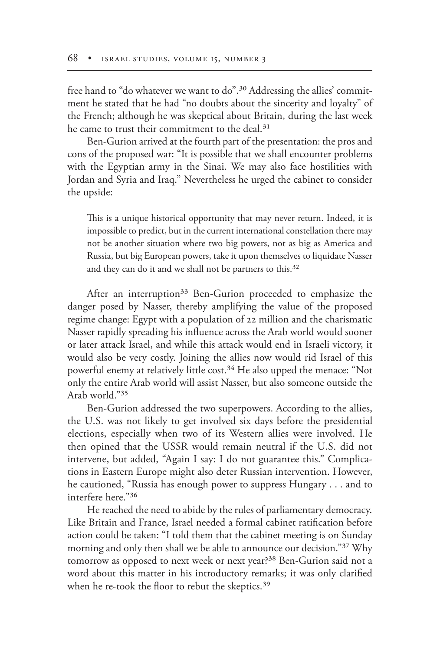free hand to "do whatever we want to do".<sup>30</sup> Addressing the allies' commitment he stated that he had "no doubts about the sincerity and loyalty" of the French; although he was skeptical about Britain, during the last week he came to trust their commitment to the deal.<sup>31</sup>

Ben-Gurion arrived at the fourth part of the presentation: the pros and cons of the proposed war: "It is possible that we shall encounter problems with the Egyptian army in the Sinai. We may also face hostilities with Jordan and Syria and Iraq." Nevertheless he urged the cabinet to consider the upside:

This is a unique historical opportunity that may never return. Indeed, it is impossible to predict, but in the current international constellation there may not be another situation where two big powers, not as big as America and Russia, but big European powers, take it upon themselves to liquidate Nasser and they can do it and we shall not be partners to this.<sup>32</sup>

After an interruption<sup>33</sup> Ben-Gurion proceeded to emphasize the danger posed by Nasser, thereby amplifying the value of the proposed regime change: Egypt with a population of 22 million and the charismatic Nasser rapidly spreading his influence across the Arab world would sooner or later attack Israel, and while this attack would end in Israeli victory, it would also be very costly. Joining the allies now would rid Israel of this powerful enemy at relatively little cost.34 He also upped the menace: "Not only the entire Arab world will assist Nasser, but also someone outside the Arab world."35

Ben-Gurion addressed the two superpowers. According to the allies, the U.S. was not likely to get involved six days before the presidential elections, especially when two of its Western allies were involved. He then opined that the USSR would remain neutral if the U.S. did not intervene, but added, "Again I say: I do not guarantee this." Complications in Eastern Europe might also deter Russian intervention. However, he cautioned, "Russia has enough power to suppress Hungary . . . and to interfere here."36

He reached the need to abide by the rules of parliamentary democracy. Like Britain and France, Israel needed a formal cabinet ratification before action could be taken: "I told them that the cabinet meeting is on Sunday morning and only then shall we be able to announce our decision."<sup>37</sup> Why tomorrow as opposed to next week or next year?<sup>38</sup> Ben-Gurion said not a word about this matter in his introductory remarks; it was only clarified when he re-took the floor to rebut the skeptics.<sup>39</sup>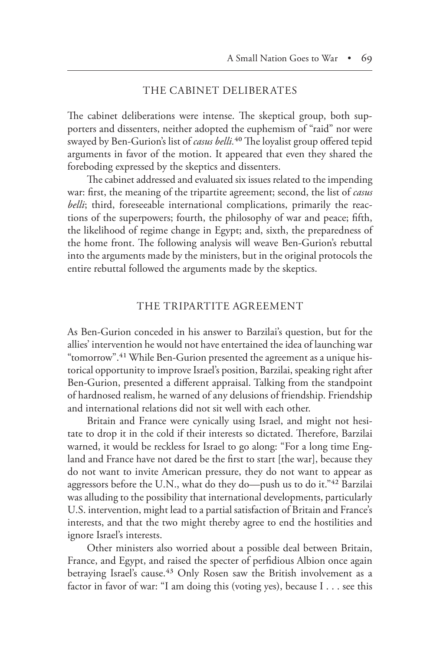## THE CABINET DELIBERATES

The cabinet deliberations were intense. The skeptical group, both supporters and dissenters, neither adopted the euphemism of "raid" nor were swayed by Ben-Gurion's list of *casus belli.*40 The loyalist group offered tepid arguments in favor of the motion. It appeared that even they shared the foreboding expressed by the skeptics and dissenters.

The cabinet addressed and evaluated six issues related to the impending war: first, the meaning of the tripartite agreement; second, the list of *casus belli*; third, foreseeable international complications, primarily the reactions of the superpowers; fourth, the philosophy of war and peace; fifth, the likelihood of regime change in Egypt; and, sixth, the preparedness of the home front. The following analysis will weave Ben-Gurion's rebuttal into the arguments made by the ministers, but in the original protocols the entire rebuttal followed the arguments made by the skeptics.

## THE TRIPARTITE AGREEMENT

As Ben-Gurion conceded in his answer to Barzilai's question, but for the allies' intervention he would not have entertained the idea of launching war "tomorrow".41 While Ben-Gurion presented the agreement as a unique historical opportunity to improve Israel's position, Barzilai, speaking right after Ben-Gurion, presented a different appraisal. Talking from the standpoint of hardnosed realism, he warned of any delusions of friendship. Friendship and international relations did not sit well with each other.

Britain and France were cynically using Israel, and might not hesitate to drop it in the cold if their interests so dictated. Therefore, Barzilai warned, it would be reckless for Israel to go along: "For a long time England and France have not dared be the first to start [the war], because they do not want to invite American pressure, they do not want to appear as aggressors before the U.N., what do they do—push us to do it."42 Barzilai was alluding to the possibility that international developments, particularly U.S. intervention, might lead to a partial satisfaction of Britain and France's interests, and that the two might thereby agree to end the hostilities and ignore Israel's interests.

Other ministers also worried about a possible deal between Britain, France, and Egypt, and raised the specter of perfidious Albion once again betraying Israel's cause.<sup>43</sup> Only Rosen saw the British involvement as a factor in favor of war: "I am doing this (voting yes), because I . . . see this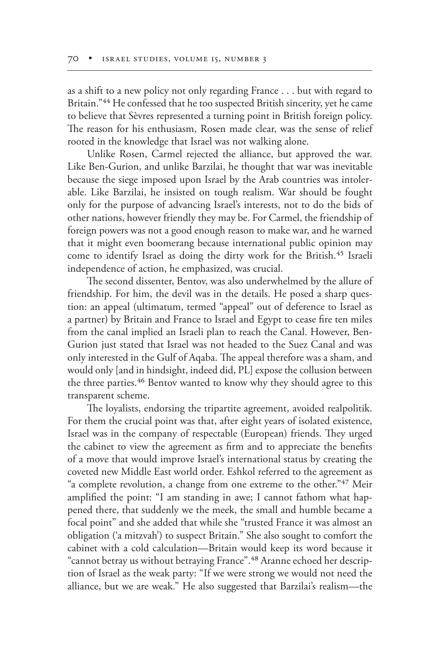as a shift to a new policy not only regarding France . . . but with regard to Britain."44 He confessed that he too suspected British sincerity, yet he came to believe that Sèvres represented a turning point in British foreign policy. The reason for his enthusiasm, Rosen made clear, was the sense of relief rooted in the knowledge that Israel was not walking alone.

Unlike Rosen, Carmel rejected the alliance, but approved the war. Like Ben-Gurion, and unlike Barzilai, he thought that war was inevitable because the siege imposed upon Israel by the Arab countries was intolerable. Like Barzilai, he insisted on tough realism. War should be fought only for the purpose of advancing Israel's interests, not to do the bids of other nations, however friendly they may be. For Carmel, the friendship of foreign powers was not a good enough reason to make war, and he warned that it might even boomerang because international public opinion may come to identify Israel as doing the dirty work for the British.45 Israeli independence of action, he emphasized, was crucial.

The second dissenter, Bentov, was also underwhelmed by the allure of friendship. For him, the devil was in the details. He posed a sharp question: an appeal (ultimatum, termed "appeal" out of deference to Israel as a partner) by Britain and France to Israel and Egypt to cease fire ten miles from the canal implied an Israeli plan to reach the Canal. However, Ben-Gurion just stated that Israel was not headed to the Suez Canal and was only interested in the Gulf of Aqaba. The appeal therefore was a sham, and would only [and in hindsight, indeed did, PL] expose the collusion between the three parties.<sup>46</sup> Bentov wanted to know why they should agree to this transparent scheme.

The loyalists, endorsing the tripartite agreement, avoided realpolitik. For them the crucial point was that, after eight years of isolated existence, Israel was in the company of respectable (European) friends. They urged the cabinet to view the agreement as firm and to appreciate the benefits of a move that would improve Israel's international status by creating the coveted new Middle East world order. Eshkol referred to the agreement as "a complete revolution, a change from one extreme to the other."47 Meir amplified the point: "I am standing in awe; I cannot fathom what happened there, that suddenly we the meek, the small and humble became a focal point" and she added that while she "trusted France it was almost an obligation ('a mitzvah') to suspect Britain." She also sought to comfort the cabinet with a cold calculation—Britain would keep its word because it "cannot betray us without betraying France".48 Aranne echoed her description of Israel as the weak party: "If we were strong we would not need the alliance, but we are weak." He also suggested that Barzilai's realism—the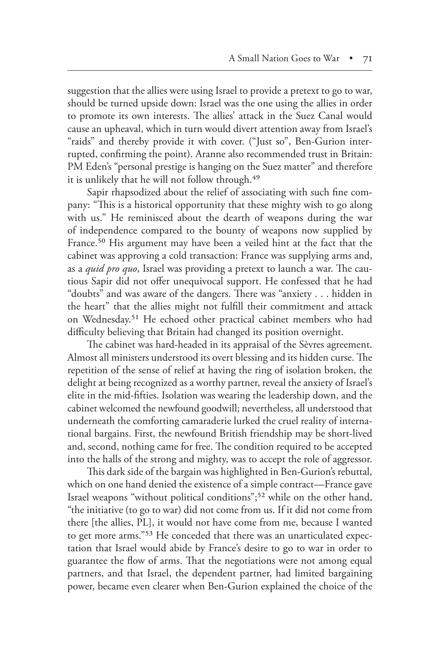suggestion that the allies were using Israel to provide a pretext to go to war, should be turned upside down: Israel was the one using the allies in order to promote its own interests. The allies' attack in the Suez Canal would cause an upheaval, which in turn would divert attention away from Israel's "raids" and thereby provide it with cover. ("Just so", Ben-Gurion interrupted, confirming the point). Aranne also recommended trust in Britain: PM Eden's "personal prestige is hanging on the Suez matter" and therefore it is unlikely that he will not follow through.<sup>49</sup>

Sapir rhapsodized about the relief of associating with such fine company: "This is a historical opportunity that these mighty wish to go along with us." He reminisced about the dearth of weapons during the war of independence compared to the bounty of weapons now supplied by France.<sup>50</sup> His argument may have been a veiled hint at the fact that the cabinet was approving a cold transaction: France was supplying arms and, as a *quid pro quo*, Israel was providing a pretext to launch a war. The cautious Sapir did not offer unequivocal support. He confessed that he had "doubts" and was aware of the dangers. There was "anxiety . . . hidden in the heart" that the allies might not fulfill their commitment and attack on Wednesday.51 He echoed other practical cabinet members who had difficulty believing that Britain had changed its position overnight.

The cabinet was hard-headed in its appraisal of the Sèvres agreement. Almost all ministers understood its overt blessing and its hidden curse. The repetition of the sense of relief at having the ring of isolation broken, the delight at being recognized as a worthy partner, reveal the anxiety of Israel's elite in the mid-fifties. Isolation was wearing the leadership down, and the cabinet welcomed the newfound goodwill; nevertheless, all understood that underneath the comforting camaraderie lurked the cruel reality of international bargains. First, the newfound British friendship may be short-lived and, second, nothing came for free. The condition required to be accepted into the halls of the strong and mighty, was to accept the role of aggressor.

This dark side of the bargain was highlighted in Ben-Gurion's rebuttal, which on one hand denied the existence of a simple contract—France gave Israel weapons "without political conditions";52 while on the other hand, "the initiative (to go to war) did not come from us. If it did not come from there [the allies, PL], it would not have come from me, because I wanted to get more arms."53 He conceded that there was an unarticulated expectation that Israel would abide by France's desire to go to war in order to guarantee the flow of arms. That the negotiations were not among equal partners, and that Israel, the dependent partner, had limited bargaining power, became even clearer when Ben-Gurion explained the choice of the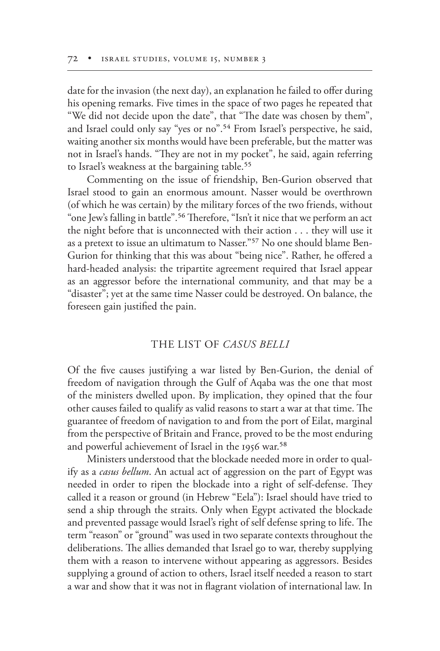date for the invasion (the next day), an explanation he failed to offer during his opening remarks. Five times in the space of two pages he repeated that "We did not decide upon the date", that "The date was chosen by them", and Israel could only say "yes or no".<sup>54</sup> From Israel's perspective, he said, waiting another six months would have been preferable, but the matter was not in Israel's hands. "They are not in my pocket", he said, again referring to Israel's weakness at the bargaining table.<sup>55</sup>

Commenting on the issue of friendship, Ben-Gurion observed that Israel stood to gain an enormous amount. Nasser would be overthrown (of which he was certain) by the military forces of the two friends, without "one Jew's falling in battle".56 Therefore, "Isn't it nice that we perform an act the night before that is unconnected with their action . . . they will use it as a pretext to issue an ultimatum to Nasser."57 No one should blame Ben-Gurion for thinking that this was about "being nice". Rather, he offered a hard-headed analysis: the tripartite agreement required that Israel appear as an aggressor before the international community, and that may be a "disaster"; yet at the same time Nasser could be destroyed. On balance, the foreseen gain justified the pain.

#### THE LIST OF *CASUS BELLI*

Of the five causes justifying a war listed by Ben-Gurion, the denial of freedom of navigation through the Gulf of Aqaba was the one that most of the ministers dwelled upon. By implication, they opined that the four other causes failed to qualify as valid reasons to start a war at that time. The guarantee of freedom of navigation to and from the port of Eilat, marginal from the perspective of Britain and France, proved to be the most enduring and powerful achievement of Israel in the 1956 war.<sup>58</sup>

Ministers understood that the blockade needed more in order to qualify as a *casus bellum*. An actual act of aggression on the part of Egypt was needed in order to ripen the blockade into a right of self-defense. They called it a reason or ground (in Hebrew "Eela"): Israel should have tried to send a ship through the straits. Only when Egypt activated the blockade and prevented passage would Israel's right of self defense spring to life. The term "reason" or "ground" was used in two separate contexts throughout the deliberations. The allies demanded that Israel go to war, thereby supplying them with a reason to intervene without appearing as aggressors. Besides supplying a ground of action to others, Israel itself needed a reason to start a war and show that it was not in flagrant violation of international law. In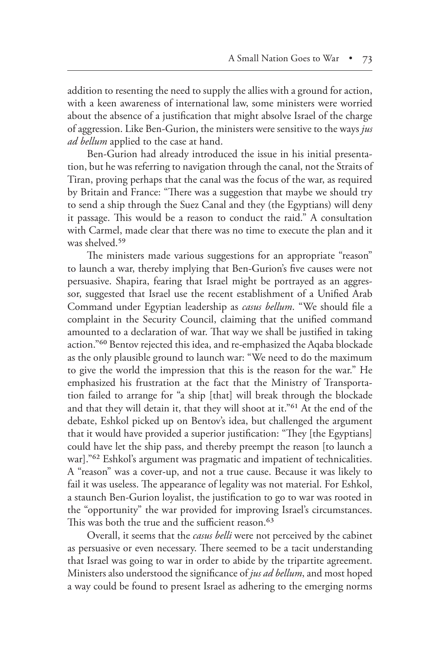addition to resenting the need to supply the allies with a ground for action, with a keen awareness of international law, some ministers were worried about the absence of a justification that might absolve Israel of the charge of aggression. Like Ben-Gurion, the ministers were sensitive to the ways *jus ad bellum* applied to the case at hand.

Ben-Gurion had already introduced the issue in his initial presentation, but he was referring to navigation through the canal, not the Straits of Tiran, proving perhaps that the canal was the focus of the war, as required by Britain and France: "There was a suggestion that maybe we should try to send a ship through the Suez Canal and they (the Egyptians) will deny it passage. This would be a reason to conduct the raid." A consultation with Carmel, made clear that there was no time to execute the plan and it was shelved.59

The ministers made various suggestions for an appropriate "reason" to launch a war, thereby implying that Ben-Gurion's five causes were not persuasive. Shapira, fearing that Israel might be portrayed as an aggressor, suggested that Israel use the recent establishment of a Unified Arab Command under Egyptian leadership as *casus bellum*. "We should file a complaint in the Security Council, claiming that the unified command amounted to a declaration of war. That way we shall be justified in taking action."60 Bentov rejected this idea, and re-emphasized the Aqaba blockade as the only plausible ground to launch war: "We need to do the maximum to give the world the impression that this is the reason for the war." He emphasized his frustration at the fact that the Ministry of Transportation failed to arrange for "a ship [that] will break through the blockade and that they will detain it, that they will shoot at it."61 At the end of the debate, Eshkol picked up on Bentov's idea, but challenged the argument that it would have provided a superior justification: "They [the Egyptians] could have let the ship pass, and thereby preempt the reason [to launch a war]."<sup>62</sup> Eshkol's argument was pragmatic and impatient of technicalities. A "reason" was a cover-up, and not a true cause. Because it was likely to fail it was useless. The appearance of legality was not material. For Eshkol, a staunch Ben-Gurion loyalist, the justification to go to war was rooted in the "opportunity" the war provided for improving Israel's circumstances. This was both the true and the sufficient reason.<sup>63</sup>

Overall, it seems that the *casus belli* were not perceived by the cabinet as persuasive or even necessary. There seemed to be a tacit understanding that Israel was going to war in order to abide by the tripartite agreement. Ministers also understood the significance of *jus ad bellum*, and most hoped a way could be found to present Israel as adhering to the emerging norms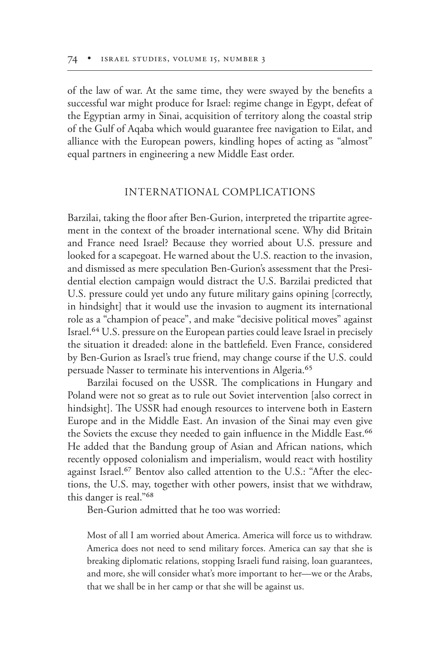of the law of war. At the same time, they were swayed by the benefits a successful war might produce for Israel: regime change in Egypt, defeat of the Egyptian army in Sinai, acquisition of territory along the coastal strip of the Gulf of Aqaba which would guarantee free navigation to Eilat, and alliance with the European powers, kindling hopes of acting as "almost" equal partners in engineering a new Middle East order.

### INTERNATIONAL COMPLICATIONS

Barzilai, taking the floor after Ben-Gurion, interpreted the tripartite agreement in the context of the broader international scene. Why did Britain and France need Israel? Because they worried about U.S. pressure and looked for a scapegoat. He warned about the U.S. reaction to the invasion, and dismissed as mere speculation Ben-Gurion's assessment that the Presidential election campaign would distract the U.S. Barzilai predicted that U.S. pressure could yet undo any future military gains opining [correctly, in hindsight] that it would use the invasion to augment its international role as a "champion of peace", and make "decisive political moves" against Israel.64 U.S. pressure on the European parties could leave Israel in precisely the situation it dreaded: alone in the battlefield. Even France, considered by Ben-Gurion as Israel's true friend, may change course if the U.S. could persuade Nasser to terminate his interventions in Algeria.65

Barzilai focused on the USSR. The complications in Hungary and Poland were not so great as to rule out Soviet intervention [also correct in hindsight]. The USSR had enough resources to intervene both in Eastern Europe and in the Middle East. An invasion of the Sinai may even give the Soviets the excuse they needed to gain influence in the Middle East.<sup>66</sup> He added that the Bandung group of Asian and African nations, which recently opposed colonialism and imperialism, would react with hostility against Israel.<sup>67</sup> Bentov also called attention to the U.S.: "After the elections, the U.S. may, together with other powers, insist that we withdraw, this danger is real."68

Ben-Gurion admitted that he too was worried:

Most of all I am worried about America. America will force us to withdraw. America does not need to send military forces. America can say that she is breaking diplomatic relations, stopping Israeli fund raising, loan guarantees, and more, she will consider what's more important to her—we or the Arabs, that we shall be in her camp or that she will be against us.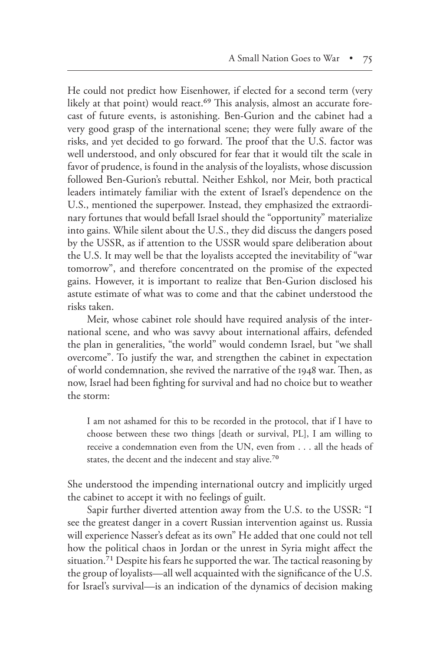He could not predict how Eisenhower, if elected for a second term (very likely at that point) would react.<sup>69</sup> This analysis, almost an accurate forecast of future events, is astonishing. Ben-Gurion and the cabinet had a very good grasp of the international scene; they were fully aware of the risks, and yet decided to go forward. The proof that the U.S. factor was well understood, and only obscured for fear that it would tilt the scale in favor of prudence, is found in the analysis of the loyalists, whose discussion followed Ben-Gurion's rebuttal. Neither Eshkol, nor Meir, both practical leaders intimately familiar with the extent of Israel's dependence on the U.S., mentioned the superpower. Instead, they emphasized the extraordinary fortunes that would befall Israel should the "opportunity" materialize into gains. While silent about the U.S., they did discuss the dangers posed by the USSR, as if attention to the USSR would spare deliberation about the U.S. It may well be that the loyalists accepted the inevitability of "war tomorrow", and therefore concentrated on the promise of the expected gains. However, it is important to realize that Ben-Gurion disclosed his astute estimate of what was to come and that the cabinet understood the risks taken.

Meir, whose cabinet role should have required analysis of the international scene, and who was savvy about international affairs, defended the plan in generalities, "the world" would condemn Israel, but "we shall overcome". To justify the war, and strengthen the cabinet in expectation of world condemnation, she revived the narrative of the 1948 war. Then, as now, Israel had been fighting for survival and had no choice but to weather the storm:

I am not ashamed for this to be recorded in the protocol, that if I have to choose between these two things [death or survival, PL], I am willing to receive a condemnation even from the UN, even from . . . all the heads of states, the decent and the indecent and stay alive.<sup>70</sup>

She understood the impending international outcry and implicitly urged the cabinet to accept it with no feelings of guilt.

Sapir further diverted attention away from the U.S. to the USSR: "I see the greatest danger in a covert Russian intervention against us. Russia will experience Nasser's defeat as its own" He added that one could not tell how the political chaos in Jordan or the unrest in Syria might affect the situation.<sup>71</sup> Despite his fears he supported the war. The tactical reasoning by the group of loyalists—all well acquainted with the significance of the U.S. for Israel's survival—is an indication of the dynamics of decision making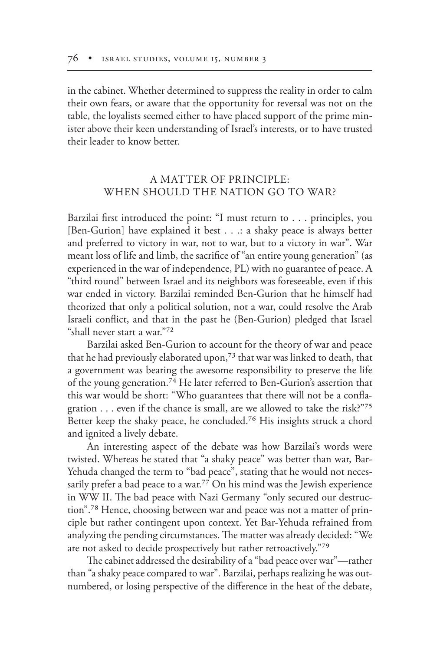in the cabinet. Whether determined to suppress the reality in order to calm their own fears, or aware that the opportunity for reversal was not on the table, the loyalists seemed either to have placed support of the prime minister above their keen understanding of Israel's interests, or to have trusted their leader to know better.

## A MATTER OF PRINCIPLE: WHEN SHOULD THE NATION GO TO WAR?

Barzilai first introduced the point: "I must return to . . . principles, you [Ben-Gurion] have explained it best . . .: a shaky peace is always better and preferred to victory in war, not to war, but to a victory in war". War meant loss of life and limb, the sacrifice of "an entire young generation" (as experienced in the war of independence, PL) with no guarantee of peace. A "third round" between Israel and its neighbors was foreseeable, even if this war ended in victory. Barzilai reminded Ben-Gurion that he himself had theorized that only a political solution, not a war, could resolve the Arab Israeli conflict, and that in the past he (Ben-Gurion) pledged that Israel "shall never start a war."72

Barzilai asked Ben-Gurion to account for the theory of war and peace that he had previously elaborated upon,<sup>73</sup> that war was linked to death, that a government was bearing the awesome responsibility to preserve the life of the young generation.74 He later referred to Ben-Gurion's assertion that this war would be short: "Who guarantees that there will not be a conflagration . . . even if the chance is small, are we allowed to take the risk?"75 Better keep the shaky peace, he concluded.76 His insights struck a chord and ignited a lively debate.

An interesting aspect of the debate was how Barzilai's words were twisted. Whereas he stated that "a shaky peace" was better than war, Bar-Yehuda changed the term to "bad peace", stating that he would not necessarily prefer a bad peace to a war.<sup>77</sup> On his mind was the Jewish experience in WW II. The bad peace with Nazi Germany "only secured our destruction".78 Hence, choosing between war and peace was not a matter of principle but rather contingent upon context. Yet Bar-Yehuda refrained from analyzing the pending circumstances. The matter was already decided: "We are not asked to decide prospectively but rather retroactively."79

The cabinet addressed the desirability of a "bad peace over war"—rather than "a shaky peace compared to war". Barzilai, perhaps realizing he was outnumbered, or losing perspective of the difference in the heat of the debate,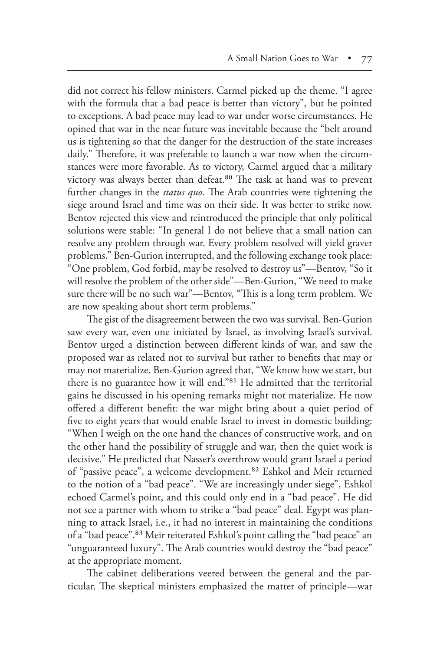did not correct his fellow ministers. Carmel picked up the theme. "I agree with the formula that a bad peace is better than victory", but he pointed to exceptions. A bad peace may lead to war under worse circumstances. He opined that war in the near future was inevitable because the "belt around us is tightening so that the danger for the destruction of the state increases daily." Therefore, it was preferable to launch a war now when the circumstances were more favorable. As to victory, Carmel argued that a military victory was always better than defeat.<sup>80</sup> The task at hand was to prevent further changes in the *status quo*. The Arab countries were tightening the siege around Israel and time was on their side. It was better to strike now. Bentov rejected this view and reintroduced the principle that only political solutions were stable: "In general I do not believe that a small nation can resolve any problem through war. Every problem resolved will yield graver problems." Ben-Gurion interrupted, and the following exchange took place: "One problem, God forbid, may be resolved to destroy us"—Bentov, "So it will resolve the problem of the other side"—Ben-Gurion, "We need to make sure there will be no such war"—Bentov, "This is a long term problem. We are now speaking about short term problems."

The gist of the disagreement between the two was survival. Ben-Gurion saw every war, even one initiated by Israel, as involving Israel's survival. Bentov urged a distinction between different kinds of war, and saw the proposed war as related not to survival but rather to benefits that may or may not materialize. Ben-Gurion agreed that, "We know how we start, but there is no guarantee how it will end."81 He admitted that the territorial gains he discussed in his opening remarks might not materialize. He now offered a different benefit: the war might bring about a quiet period of five to eight years that would enable Israel to invest in domestic building: "When I weigh on the one hand the chances of constructive work, and on the other hand the possibility of struggle and war, then the quiet work is decisive." He predicted that Nasser's overthrow would grant Israel a period of "passive peace", a welcome development.<sup>82</sup> Eshkol and Meir returned to the notion of a "bad peace". "We are increasingly under siege", Eshkol echoed Carmel's point, and this could only end in a "bad peace". He did not see a partner with whom to strike a "bad peace" deal. Egypt was planning to attack Israel, i.e., it had no interest in maintaining the conditions of a "bad peace".83 Meir reiterated Eshkol's point calling the "bad peace" an "unguaranteed luxury". The Arab countries would destroy the "bad peace" at the appropriate moment.

The cabinet deliberations veered between the general and the particular. The skeptical ministers emphasized the matter of principle—war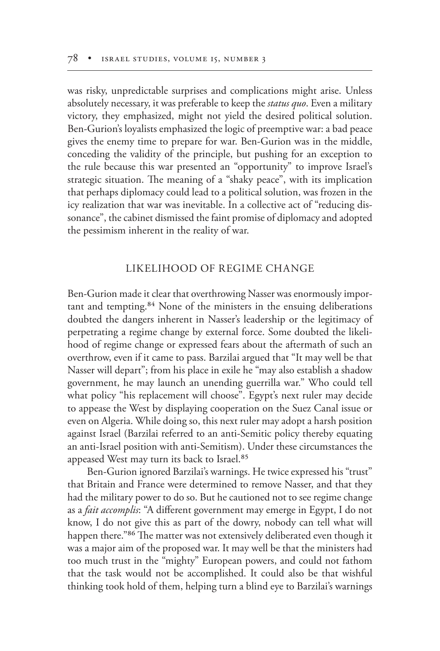was risky, unpredictable surprises and complications might arise. Unless absolutely necessary, it was preferable to keep the *status quo*. Even a military victory, they emphasized, might not yield the desired political solution. Ben-Gurion's loyalists emphasized the logic of preemptive war: a bad peace gives the enemy time to prepare for war. Ben-Gurion was in the middle, conceding the validity of the principle, but pushing for an exception to the rule because this war presented an "opportunity" to improve Israel's strategic situation. The meaning of a "shaky peace", with its implication that perhaps diplomacy could lead to a political solution, was frozen in the icy realization that war was inevitable. In a collective act of "reducing dissonance", the cabinet dismissed the faint promise of diplomacy and adopted the pessimism inherent in the reality of war.

#### LIKELIHOOD OF REGIME CHANGE

Ben-Gurion made it clear that overthrowing Nasser was enormously important and tempting.84 None of the ministers in the ensuing deliberations doubted the dangers inherent in Nasser's leadership or the legitimacy of perpetrating a regime change by external force. Some doubted the likelihood of regime change or expressed fears about the aftermath of such an overthrow, even if it came to pass. Barzilai argued that "It may well be that Nasser will depart"; from his place in exile he "may also establish a shadow government, he may launch an unending guerrilla war." Who could tell what policy "his replacement will choose". Egypt's next ruler may decide to appease the West by displaying cooperation on the Suez Canal issue or even on Algeria. While doing so, this next ruler may adopt a harsh position against Israel (Barzilai referred to an anti-Semitic policy thereby equating an anti-Israel position with anti-Semitism). Under these circumstances the appeased West may turn its back to Israel.85

Ben-Gurion ignored Barzilai's warnings. He twice expressed his "trust" that Britain and France were determined to remove Nasser, and that they had the military power to do so. But he cautioned not to see regime change as a *fait accomplis*: "A different government may emerge in Egypt, I do not know, I do not give this as part of the dowry, nobody can tell what will happen there."<sup>86</sup> The matter was not extensively deliberated even though it was a major aim of the proposed war. It may well be that the ministers had too much trust in the "mighty" European powers, and could not fathom that the task would not be accomplished. It could also be that wishful thinking took hold of them, helping turn a blind eye to Barzilai's warnings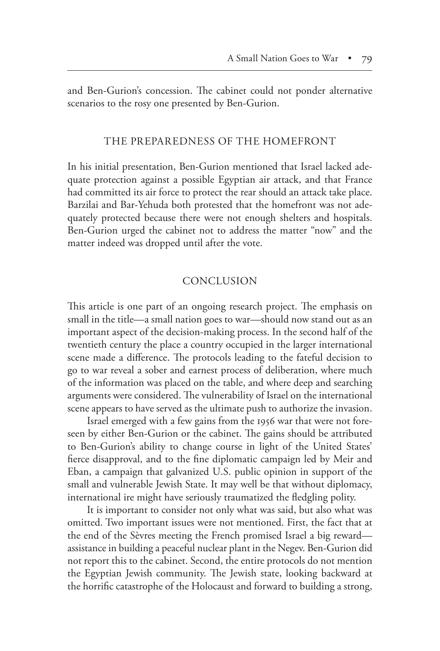and Ben-Gurion's concession. The cabinet could not ponder alternative scenarios to the rosy one presented by Ben-Gurion.

## THE PREPAREDNESS OF THE HOMEFRONT

In his initial presentation, Ben-Gurion mentioned that Israel lacked adequate protection against a possible Egyptian air attack, and that France had committed its air force to protect the rear should an attack take place. Barzilai and Bar-Yehuda both protested that the homefront was not adequately protected because there were not enough shelters and hospitals. Ben-Gurion urged the cabinet not to address the matter "now" and the matter indeed was dropped until after the vote.

#### CONCLUSION

This article is one part of an ongoing research project. The emphasis on small in the title—a small nation goes to war—should now stand out as an important aspect of the decision-making process. In the second half of the twentieth century the place a country occupied in the larger international scene made a difference. The protocols leading to the fateful decision to go to war reveal a sober and earnest process of deliberation, where much of the information was placed on the table, and where deep and searching arguments were considered. The vulnerability of Israel on the international scene appears to have served as the ultimate push to authorize the invasion.

Israel emerged with a few gains from the 1956 war that were not foreseen by either Ben-Gurion or the cabinet. The gains should be attributed to Ben-Gurion's ability to change course in light of the United States' fierce disapproval, and to the fine diplomatic campaign led by Meir and Eban, a campaign that galvanized U.S. public opinion in support of the small and vulnerable Jewish State. It may well be that without diplomacy, international ire might have seriously traumatized the fledgling polity.

It is important to consider not only what was said, but also what was omitted. Two important issues were not mentioned. First, the fact that at the end of the Sèvres meeting the French promised Israel a big reward assistance in building a peaceful nuclear plant in the Negev. Ben-Gurion did not report this to the cabinet. Second, the entire protocols do not mention the Egyptian Jewish community. The Jewish state, looking backward at the horrific catastrophe of the Holocaust and forward to building a strong,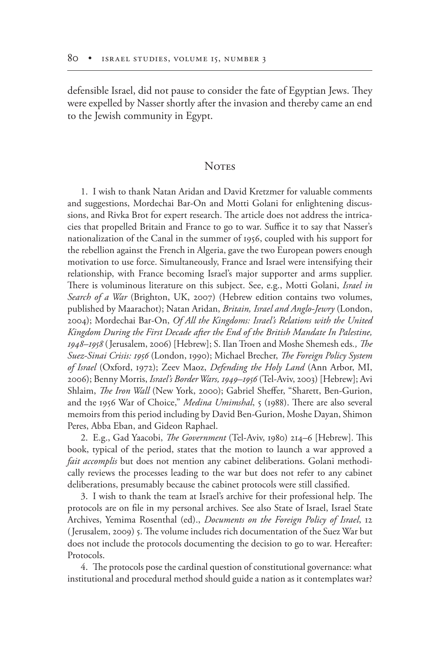defensible Israel, did not pause to consider the fate of Egyptian Jews. They were expelled by Nasser shortly after the invasion and thereby came an end to the Jewish community in Egypt.

## **NOTES**

1. I wish to thank Natan Aridan and David Kretzmer for valuable comments and suggestions, Mordechai Bar-On and Motti Golani for enlightening discussions, and Rivka Brot for expert research. The article does not address the intricacies that propelled Britain and France to go to war. Suffice it to say that Nasser's nationalization of the Canal in the summer of 1956, coupled with his support for the rebellion against the French in Algeria, gave the two European powers enough motivation to use force. Simultaneously, France and Israel were intensifying their relationship, with France becoming Israel's major supporter and arms supplier. There is voluminous literature on this subject. See, e.g., Motti Golani, *Israel in Search of a War* (Brighton, UK, 2007) (Hebrew edition contains two volumes, published by Maarachot); Natan Aridan, *Britain, Israel and Anglo-Jewry* (London, 2004); Mordechai Bar-On, *Of All the Kingdoms: Israel's Relations with the United Kingdom During the First Decade after the End of the British Mandate In Palestine, 1948–1958* (Jerusalem, 2006) [Hebrew]; S. Ilan Troen and Moshe Shemesh eds*., The Suez-Sinai Crisis: 1956* (London, 1990); Michael Brecher, *The Foreign Policy System of Israel* (Oxford, 1972); Zeev Maoz, *Defending the Holy Land* (Ann Arbor, MI, 2006); Benny Morris, *Israel's Border Wars, 1949–1956* (Tel-Aviv, 2003) [Hebrew]; Avi Shlaim, *The Iron Wall* (New York, 2000); Gabriel Sheffer, "Sharett, Ben-Gurion, and the 1956 War of Choice," *Medina Umimshal*, 5 (1988). There are also several memoirs from this period including by David Ben-Gurion, Moshe Dayan, Shimon Peres, Abba Eban, and Gideon Raphael.

2. E.g., Gad Yaacobi, *The Government* (Tel-Aviv, 1980) 214–6 [Hebrew]. This book, typical of the period, states that the motion to launch a war approved a *fait accomplis* but does not mention any cabinet deliberations. Golani methodically reviews the processes leading to the war but does not refer to any cabinet deliberations, presumably because the cabinet protocols were still classified.

3. I wish to thank the team at Israel's archive for their professional help. The protocols are on file in my personal archives. See also State of Israel, Israel State Archives, Yemima Rosenthal (ed)., *Documents on the Foreign Policy of Israel*, 12 (Jerusalem, 2009) 5. The volume includes rich documentation of the Suez War but does not include the protocols documenting the decision to go to war. Hereafter: Protocols.

4. The protocols pose the cardinal question of constitutional governance: what institutional and procedural method should guide a nation as it contemplates war?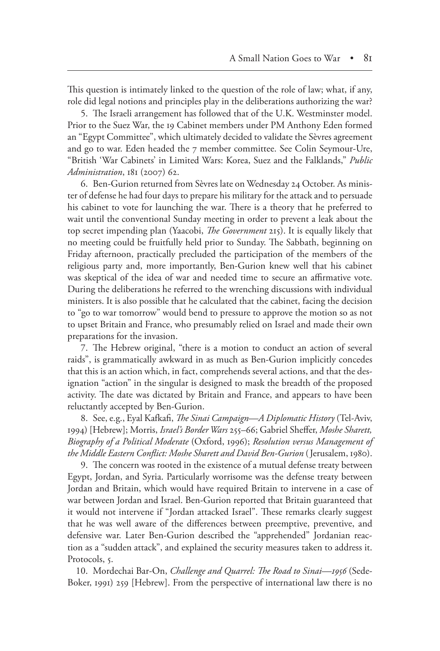This question is intimately linked to the question of the role of law; what, if any, role did legal notions and principles play in the deliberations authorizing the war?

5. The Israeli arrangement has followed that of the U.K. Westminster model. Prior to the Suez War, the 19 Cabinet members under PM Anthony Eden formed an "Egypt Committee", which ultimately decided to validate the Sèvres agreement and go to war. Eden headed the 7 member committee. See Colin Seymour-Ure, "British 'War Cabinets' in Limited Wars: Korea, Suez and the Falklands," *Public Administration*, 181 (2007) 62.

6. Ben-Gurion returned from Sèvres late on Wednesday 24 October. As minister of defense he had four days to prepare his military for the attack and to persuade his cabinet to vote for launching the war. There is a theory that he preferred to wait until the conventional Sunday meeting in order to prevent a leak about the top secret impending plan (Yaacobi, *The Government* 215). It is equally likely that no meeting could be fruitfully held prior to Sunday. The Sabbath, beginning on Friday afternoon, practically precluded the participation of the members of the religious party and, more importantly, Ben-Gurion knew well that his cabinet was skeptical of the idea of war and needed time to secure an affirmative vote. During the deliberations he referred to the wrenching discussions with individual ministers. It is also possible that he calculated that the cabinet, facing the decision to "go to war tomorrow" would bend to pressure to approve the motion so as not to upset Britain and France, who presumably relied on Israel and made their own preparations for the invasion.

7. The Hebrew original, "there is a motion to conduct an action of several raids", is grammatically awkward in as much as Ben-Gurion implicitly concedes that this is an action which, in fact, comprehends several actions, and that the designation "action" in the singular is designed to mask the breadth of the proposed activity. The date was dictated by Britain and France, and appears to have been reluctantly accepted by Ben-Gurion.

8. See, e.g., Eyal Kafkafi, *The Sinai Campaign—A Diplomatic History* (Tel-Aviv, 1994) [Hebrew]; Morris, *Israel's Border Wars* 255–66; Gabriel Sheffer, *Moshe Sharett, Biography of a Political Moderate* (Oxford, 1996); *Resolution versus Management of the Middle Eastern Conflict: Moshe Sharett and David Ben-Gurion* (Jerusalem, 1980).

9. The concern was rooted in the existence of a mutual defense treaty between Egypt, Jordan, and Syria. Particularly worrisome was the defense treaty between Jordan and Britain, which would have required Britain to intervene in a case of war between Jordan and Israel. Ben-Gurion reported that Britain guaranteed that it would not intervene if "Jordan attacked Israel". These remarks clearly suggest that he was well aware of the differences between preemptive, preventive, and defensive war. Later Ben-Gurion described the "apprehended" Jordanian reaction as a "sudden attack", and explained the security measures taken to address it. Protocols, 5.

10. Mordechai Bar-On, *Challenge and Quarrel: The Road to Sinai—1956* (Sede-Boker, 1991) 259 [Hebrew]. From the perspective of international law there is no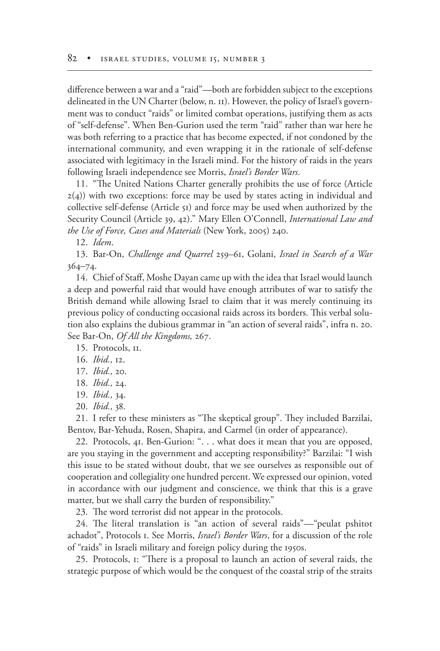difference between a war and a "raid"—both are forbidden subject to the exceptions delineated in the UN Charter (below, n. 11). However, the policy of Israel's government was to conduct "raids" or limited combat operations, justifying them as acts of "self-defense". When Ben-Gurion used the term "raid" rather than war here he was both referring to a practice that has become expected, if not condoned by the international community, and even wrapping it in the rationale of self-defense associated with legitimacy in the Israeli mind. For the history of raids in the years following Israeli independence see Morris, *Israel's Border Wars*.

11. "The United Nations Charter generally prohibits the use of force (Article  $2(4)$ ) with two exceptions: force may be used by states acting in individual and collective self-defense (Article 51) and force may be used when authorized by the Security Council (Article 39, 42)." Mary Ellen O'Connell, *International Law and the Use of Force, Cases and Materials* (New York, 2005) 240.

12. *Idem*.

13. Bar-On, *Challenge and Quarrel* 259–61, Golani, *Israel in Search of a War* 364–74.

14. Chief of Staff, Moshe Dayan came up with the idea that Israel would launch a deep and powerful raid that would have enough attributes of war to satisfy the British demand while allowing Israel to claim that it was merely continuing its previous policy of conducting occasional raids across its borders. This verbal solution also explains the dubious grammar in "an action of several raids", infra n. 20. See Bar-On, *Of All the Kingdoms,* 267.

15. Protocols, 11.

- 17. *Ibid.,* 20.
- 18. *Ibid.,* 24.
- 19. *Ibid.,* 34.
- 20. *Ibid.,* 38.

21. I refer to these ministers as "The skeptical group". They included Barzilai, Bentov, Bar-Yehuda, Rosen, Shapira, and Carmel (in order of appearance).

22. Protocols, 41. Ben-Gurion: ". . . what does it mean that you are opposed, are you staying in the government and accepting responsibility?" Barzilai: "I wish this issue to be stated without doubt, that we see ourselves as responsible out of cooperation and collegiality one hundred percent. We expressed our opinion, voted in accordance with our judgment and conscience, we think that this is a grave matter, but we shall carry the burden of responsibility."

23. The word terrorist did not appear in the protocols.

24. The literal translation is "an action of several raids"—"peulat pshitot achadot", Protocols 1. See Morris, *Israel's Border Wars*, for a discussion of the role of "raids" in Israeli military and foreign policy during the 1950s.

25. Protocols, 1: "There is a proposal to launch an action of several raids, the strategic purpose of which would be the conquest of the coastal strip of the straits

<sup>16.</sup> *Ibid.,* 12.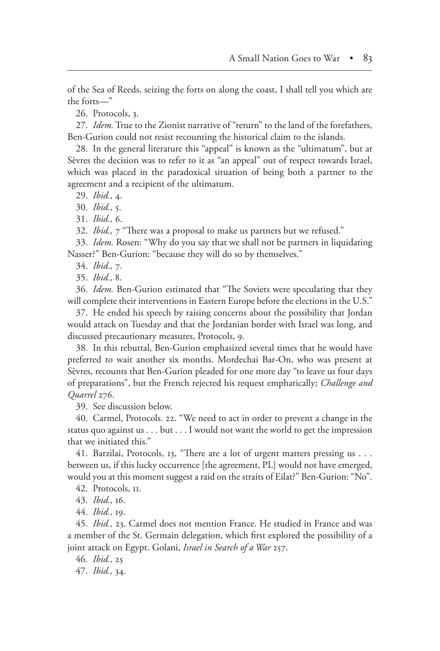of the Sea of Reeds, seizing the forts on along the coast, I shall tell you which are the forts—"

26. Protocols, 3.

27. *Idem.*True to the Zionist narrative of "return" to the land of the forefathers, Ben-Gurion could not resist recounting the historical claim to the islands.

28. In the general literature this "appeal" is known as the "ultimatum", but at Sèvres the decision was to refer to it as "an appeal" out of respect towards Israel, which was placed in the paradoxical situation of being both a partner to the agreement and a recipient of the ultimatum.

29. *Ibid.,* 4.

30. *Ibid.,* 5.

31. *Ibid.,* 6.

32. *Ibid.,* 7 "There was a proposal to make us partners but we refused."

33. *Idem.* Rosen: "Why do you say that we shall not be partners in liquidating Nasser?" Ben-Gurion: "because they will do so by themselves."

34. *Ibid.,* 7.

35. *Ibid.,* 8.

36. *Idem.* Ben-Gurion estimated that "The Soviets were speculating that they will complete their interventions in Eastern Europe before the elections in the U.S."

37. He ended his speech by raising concerns about the possibility that Jordan would attack on Tuesday and that the Jordanian border with Israel was long, and discussed precautionary measures, Protocols, 9.

38. In this rebuttal, Ben-Gurion emphasized several times that he would have preferred to wait another six months. Mordechai Bar-On, who was present at Sèvres, recounts that Ben-Gurion pleaded for one more day "to leave us four days of preparations", but the French rejected his request emphatically; *Challenge and Quarrel* 276.

39. See discussion below.

40. Carmel, Protocols. 22. "We need to act in order to prevent a change in the status quo against us . . . but . . . I would not want the world to get the impression that we initiated this."

41. Barzilai, Protocols, 13, "There are a lot of urgent matters pressing us . . . between us, if this lucky occurrence [the agreement, PL] would not have emerged, would you at this moment suggest a raid on the straits of Eilat?" Ben-Gurion: "No".

42. Protocols, 11.

43. *Ibid.,* 16.

44. *Ibid.,* 19.

45. *Ibid.,* 23. Carmel does not mention France. He studied in France and was a member of the St. Germain delegation, which first explored the possibility of a joint attack on Egypt. Golani, *Israel in Search of a War* 257.

47. *Ibid.,* 34.

<sup>46.</sup> *Ibid.,* 25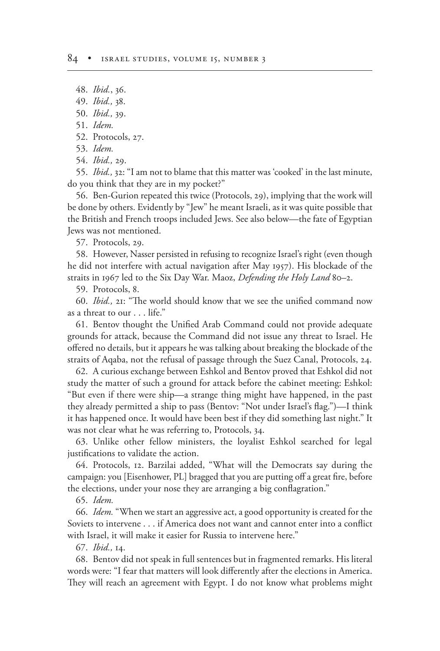- 48. *Ibid.*, 36.
- 49. *Ibid.,* 38.
- 50. *Ibid.,* 39.
- 51. *Idem.*
- 52. Protocols, 27.
- 53. *Idem.*
- 54. *Ibid.,* 29.

55. *Ibid.,* 32: "I am not to blamethat this matter was 'cooked' in thelast minute, do you think that they are in my pocket?"

56. Ben-Gurion repeated this twice (Protocols, 29), implying that the work will be done by others. Evidently by "Jew" he meant Israeli, as it was quite possible that the British and French troops included Jews. See also below—the fate of Egyptian Jews was not mentioned.

57. Protocols, 29.

58. However, Nasser persisted in refusing to recognize Israel's right (even though he did not interfere with actual navigation after May 1957). His blockade of the straits in 1967 led to the Six Day War. Maoz, *Defending the Holy Land* 80–2.

59. Protocols, 8.

60. *Ibid.,* 21: "The world should know that we see the unified command now as a threat to our . . . life."

61. Bentov thought the Unified Arab Command could not provide adequate grounds for attack, because the Command did not issue any threat to Israel. He offered no details, but it appears he was talking about breaking the blockade of the straits of Aqaba, not the refusal of passage through the Suez Canal, Protocols, 24.

62. A curious exchange between Eshkol and Bentov proved that Eshkol did not study the matter of such a ground for attack before the cabinet meeting: Eshkol: "But even if there were ship—a strange thing might have happened, in the past they already permitted a ship to pass (Bentov: "Not under Israel's flag.")—I think it has happened once. It would have been best if they did something last night." It was not clear what he was referring to, Protocols, 34.

63. Unlike other fellow ministers, the loyalist Eshkol searched for legal justifications to validate the action.

64. Protocols, 12. Barzilai added, "What will the Democrats say during the campaign: you [Eisenhower, PL] bragged that you are putting off a great fire, before the elections, under your nose they are arranging a big conflagration."

65. *Idem.*

66. *Idem.* "When we start an aggressive act, a good opportunity is created for the Soviets to intervene . . . if America does not want and cannot enter into a conflict with Israel, it will make it easier for Russia to intervene here."

67. *Ibid.,* 14.

68. Bentov did not speak in full sentences but in fragmented remarks. His literal words were: "I fear that matters will look differently after the elections in America. They will reach an agreement with Egypt. I do not know what problems might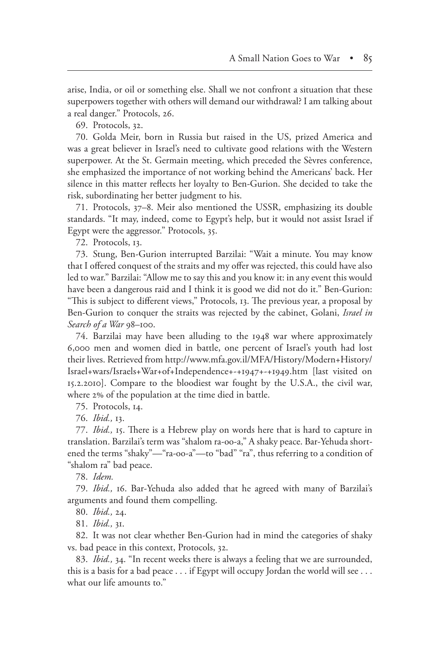arise, India, or oil or something else. Shall we not confront a situation that these superpowers together with others will demand our withdrawal? I am talking about a real danger." Protocols, 26.

69. Protocols, 32.

70. Golda Meir, born in Russia but raised in the US, prized America and was a great believer in Israel's need to cultivate good relations with the Western superpower. At the St. Germain meeting, which preceded the Sèvres conference, she emphasized the importance of not working behind the Americans' back. Her silence in this matter reflects her loyalty to Ben-Gurion. She decided to take the risk, subordinating her better judgment to his.

71. Protocols, 37–8. Meir also mentioned the USSR, emphasizing its double standards. "It may, indeed, come to Egypt's help, but it would not assist Israel if Egypt were the aggressor." Protocols, 35.

72. Protocols, 13.

73. Stung, Ben-Gurion interrupted Barzilai: "Wait a minute. You may know that I offered conquest of the straits and my offer was rejected, this could have also led to war." Barzilai: "Allow me to say this and you know it: in any event this would have been a dangerous raid and I think it is good we did not do it." Ben-Gurion: "This is subject to different views," Protocols, 13. The previous year, a proposal by Ben-Gurion to conquer the straits was rejected by the cabinet, Golani, *Israel in Search of a War* 98–100.

74. Barzilai may have been alluding to the 1948 war where approximately 6,000 men and women died in battle, one percent of Israel's youth had lost their lives. Retrieved from http://www.mfa.gov.il/MFA/History/Modern+History/ Israel+wars/Israels+War+of+Independence+-+1947+-+1949.htm [last visited on 15.2.2010]. Compare to the bloodiest war fought by the U.S.A., the civil war, where 2% of the population at the time died in battle.

75. Protocols, 14.

76. *Ibid.,* 13.

77. *Ibid.,* 15. There is a Hebrew play on words here that is hard to capture in translation. Barzilai's term was "shalom ra-oo-a," A shaky peace. Bar-Yehuda shortened the terms "shaky"—"ra-oo-a"—to "bad" "ra", thus referring to a condition of "shalom ra" bad peace.

78. *Idem.*

79. *Ibid.,* 16. Bar-Yehuda also added that he agreed with many of Barzilai's arguments and found them compelling.

80. *Ibid.,* 24.

81. *Ibid.,* 31.

82. It was not clear whether Ben-Gurion had in mind the categories of shaky vs. bad peace in this context, Protocols, 32.

83. *Ibid.,* 34. "In recent weeks there is always a feeling that we are surrounded, this is a basis for a bad peace . . . if Egypt will occupy Jordan the world will see . . . what our life amounts to."